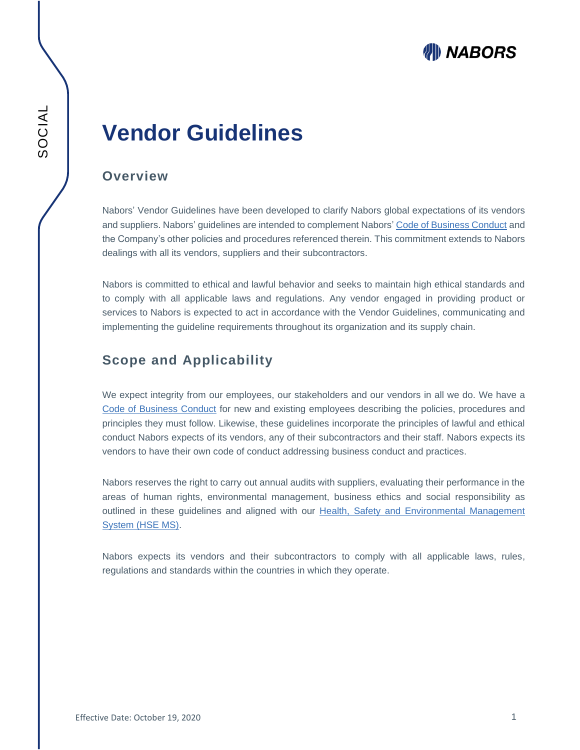# WII) NABORS

# **Vendor Guidelines**

#### **Overview**

Nabors' Vendor Guidelines have been developed to clarify Nabors global expectations of its vendors and suppliers. Nabors' guidelines are intended to complement Nabors' [Code of Business Conduct](http://investor.nabors.com/file/4010705/Index?KeyFile=1500117577) and the Company's other policies and procedures referenced therein. This commitment extends to Nabors dealings with all its vendors, suppliers and their subcontractors.

Nabors is committed to ethical and lawful behavior and seeks to maintain high ethical standards and to comply with all applicable laws and regulations. Any vendor engaged in providing product or services to Nabors is expected to act in accordance with the Vendor Guidelines, communicating and implementing the guideline requirements throughout its organization and its supply chain.

### **Scope and Applicability**

We expect integrity from our employees, our stakeholders and our vendors in all we do. We have a [Code of Business Conduct](http://investor.nabors.com/file/4010705/Index?KeyFile=1500117577) for new and existing employees describing the policies, procedures and principles they must follow. Likewise, these guidelines incorporate the principles of lawful and ethical conduct Nabors expects of its vendors, any of their subcontractors and their staff. Nabors expects its vendors to have their own code of conduct addressing business conduct and practices.

Nabors reserves the right to carry out annual audits with suppliers, evaluating their performance in the areas of human rights, environmental management, business ethics and social responsibility as outlined in these guidelines and aligned with our Health, Safety and Environmental Management [System \(HSE MS\).](https://www.nabors.com/sites/default/files/resources/Environmental%20Management%20Disclosure_1.pdf)

Nabors expects its vendors and their subcontractors to comply with all applicable laws, rules, regulations and standards within the countries in which they operate.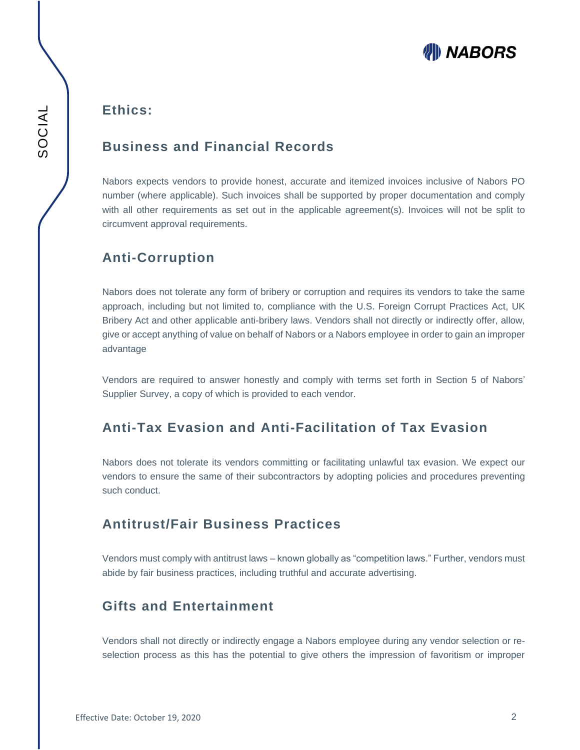

### **Ethics:**

#### **Business and Financial Records**

Nabors expects vendors to provide honest, accurate and itemized invoices inclusive of Nabors PO number (where applicable). Such invoices shall be supported by proper documentation and comply with all other requirements as set out in the applicable agreement(s). Invoices will not be split to circumvent approval requirements.

## **Anti-Corruption**

Nabors does not tolerate any form of bribery or corruption and requires its vendors to take the same approach, including but not limited to, compliance with the U.S. Foreign Corrupt Practices Act, UK Bribery Act and other applicable anti-bribery laws. Vendors shall not directly or indirectly offer, allow, give or accept anything of value on behalf of Nabors or a Nabors employee in order to gain an improper advantage

Vendors are required to answer honestly and comply with terms set forth in Section 5 of Nabors' Supplier Survey, a copy of which is provided to each vendor.

## **Anti-Tax Evasion and Anti-Facilitation of Tax Evasion**

Nabors does not tolerate its vendors committing or facilitating unlawful tax evasion. We expect our vendors to ensure the same of their subcontractors by adopting policies and procedures preventing such conduct.

### **Antitrust/Fair Business Practices**

Vendors must comply with antitrust laws – known globally as "competition laws." Further, vendors must abide by fair business practices, including truthful and accurate advertising.

## **Gifts and Entertainment**

Vendors shall not directly or indirectly engage a Nabors employee during any vendor selection or reselection process as this has the potential to give others the impression of favoritism or improper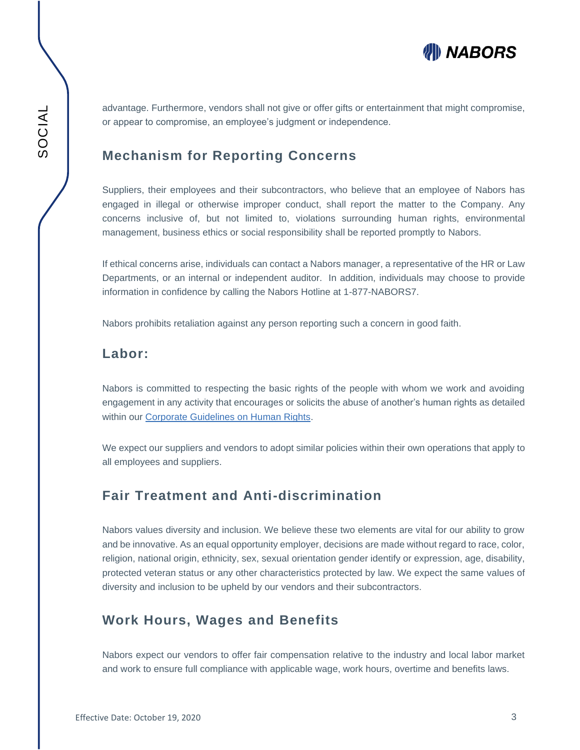

advantage. Furthermore, vendors shall not give or offer gifts or entertainment that might compromise, or appear to compromise, an employee's judgment or independence.

### **Mechanism for Reporting Concerns**

Suppliers, their employees and their subcontractors, who believe that an employee of Nabors has engaged in illegal or otherwise improper conduct, shall report the matter to the Company. Any concerns inclusive of, but not limited to, violations surrounding human rights, environmental management, business ethics or social responsibility shall be reported promptly to Nabors.

If ethical concerns arise, individuals can contact a Nabors manager, a representative of the HR or Law Departments, or an internal or independent auditor. In addition, individuals may choose to provide information in confidence by calling the Nabors Hotline at 1-877-NABORS7.

Nabors prohibits retaliation against any person reporting such a concern in good faith.

#### **Labor:**

Nabors is committed to respecting the basic rights of the people with whom we work and avoiding engagement in any activity that encourages or solicits the abuse of another's human rights as detailed within our [Corporate Guidelines on Human Rights.](https://www.nabors.com/sites/default/files/resources/Corporate%20Guidelines%20on%20Human%20Rights.pdf)

We expect our suppliers and vendors to adopt similar policies within their own operations that apply to all employees and suppliers.

### **Fair Treatment and Anti-discrimination**

Nabors values diversity and inclusion. We believe these two elements are vital for our ability to grow and be innovative. As an equal opportunity employer, decisions are made without regard to race, color, religion, national origin, ethnicity, sex, sexual orientation gender identify or expression, age, disability, protected veteran status or any other characteristics protected by law. We expect the same values of diversity and inclusion to be upheld by our vendors and their subcontractors.

### **Work Hours, Wages and Benefits**

Nabors expect our vendors to offer fair compensation relative to the industry and local labor market and work to ensure full compliance with applicable wage, work hours, overtime and benefits laws.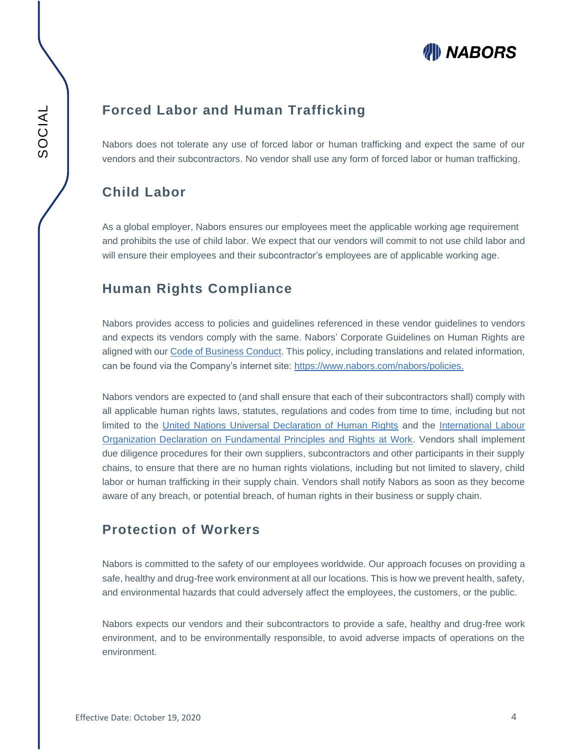# WII) NABORS

## **Forced Labor and Human Trafficking**

Nabors does not tolerate any use of forced labor or human trafficking and expect the same of our vendors and their subcontractors. No vendor shall use any form of forced labor or human trafficking.

### **Child Labor**

As a global employer, Nabors ensures our employees meet the applicable working age requirement and prohibits the use of child labor. We expect that our vendors will commit to not use child labor and will ensure their employees and their subcontractor's employees are of applicable working age.

### **Human Rights Compliance**

Nabors provides access to policies and guidelines referenced in these vendor guidelines to vendors and expects its vendors comply with the same. Nabors' Corporate Guidelines on Human Rights are aligned with our [Code of Business Conduct.](http://investor.nabors.com/file/4010705/Index?KeyFile=1500117577) This policy, including translations and related information, can be found via the Company's internet site: [https://www.nabors.com/nabors/policies.](https://www.nabors.com/nabors/policies)

Nabors vendors are expected to (and shall ensure that each of their subcontractors shall) comply with all applicable human rights laws, statutes, regulations and codes from time to time, including but not limited to the [United Nations Universal Declaration of Human Rights](http://www.un.org/en/documents/udhr/) and the International Labour [Organization Declaration on Fundamental Principles and Rights at Work.](https://www.ilo.org/declaration/thedeclaration/textdeclaration/lang--en/index.htm) Vendors shall implement due diligence procedures for their own suppliers, subcontractors and other participants in their supply chains, to ensure that there are no human rights violations, including but not limited to slavery, child labor or human trafficking in their supply chain. Vendors shall notify Nabors as soon as they become aware of any breach, or potential breach, of human rights in their business or supply chain.

# **Protection of Workers**

Nabors is committed to the safety of our employees worldwide. Our approach focuses on providing a safe, healthy and drug-free work environment at all our locations. This is how we prevent health, safety, and environmental hazards that could adversely affect the employees, the customers, or the public.

Nabors expects our vendors and their subcontractors to provide a safe, healthy and drug-free work environment, and to be environmentally responsible, to avoid adverse impacts of operations on the environment.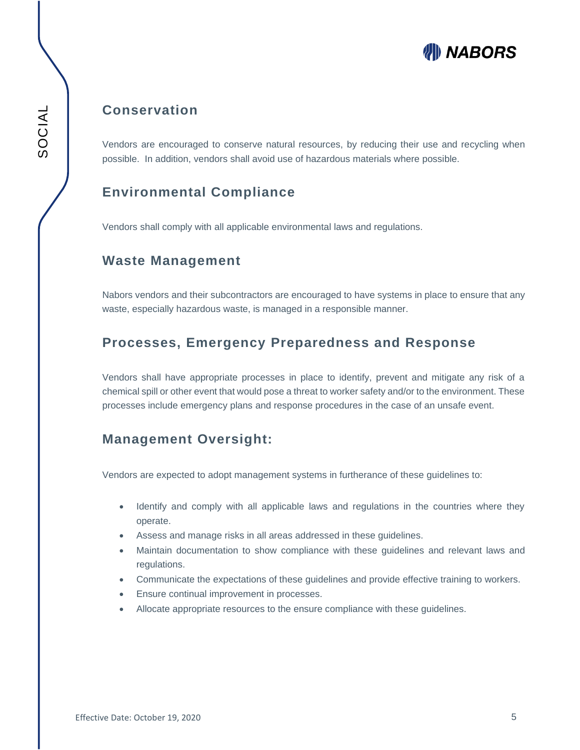# **WIII NABORS**

### **Conservation**

Vendors are encouraged to conserve natural resources, by reducing their use and recycling when possible. In addition, vendors shall avoid use of hazardous materials where possible.

# **Environmental Compliance**

Vendors shall comply with all applicable environmental laws and regulations.

### **Waste Management**

Nabors vendors and their subcontractors are encouraged to have systems in place to ensure that any waste, especially hazardous waste, is managed in a responsible manner.

### **Processes, Emergency Preparedness and Response**

Vendors shall have appropriate processes in place to identify, prevent and mitigate any risk of a chemical spill or other event that would pose a threat to worker safety and/or to the environment. These processes include emergency plans and response procedures in the case of an unsafe event.

### **Management Oversight:**

Vendors are expected to adopt management systems in furtherance of these guidelines to:

- Identify and comply with all applicable laws and regulations in the countries where they operate.
- Assess and manage risks in all areas addressed in these guidelines.
- Maintain documentation to show compliance with these guidelines and relevant laws and regulations.
- Communicate the expectations of these guidelines and provide effective training to workers.
- Ensure continual improvement in processes.
- Allocate appropriate resources to the ensure compliance with these guidelines.